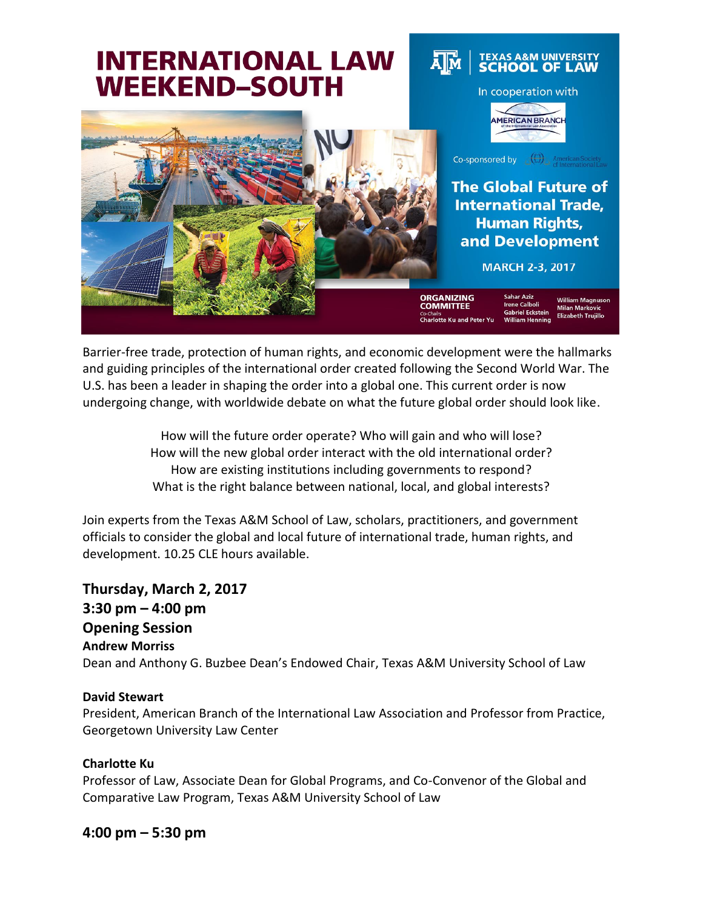

Barrier-free trade, protection of human rights, and economic development were the hallmarks and guiding principles of the international order created following the Second World War. The U.S. has been a leader in shaping the order into a global one. This current order is now undergoing change, with worldwide debate on what the future global order should look like.

> How will the future order operate? Who will gain and who will lose? How will the new global order interact with the old international order? How are existing institutions including governments to respond? What is the right balance between national, local, and global interests?

Join experts from the Texas A&M School of Law, scholars, practitioners, and government officials to consider the global and local future of international trade, human rights, and development. 10.25 CLE hours available.

**Thursday, March 2, 2017 3:30 pm – 4:00 pm Opening Session Andrew Morriss** Dean and Anthony G. Buzbee Dean's Endowed Chair, Texas A&M University School of Law

#### **David Stewart**

President, American Branch of the International Law Association and Professor from Practice, Georgetown University Law Center

#### **Charlotte Ku**

Professor of Law, Associate Dean for Global Programs, and Co-Convenor of the Global and Comparative Law Program, Texas A&M University School of Law

#### **4:00 pm – 5:30 pm**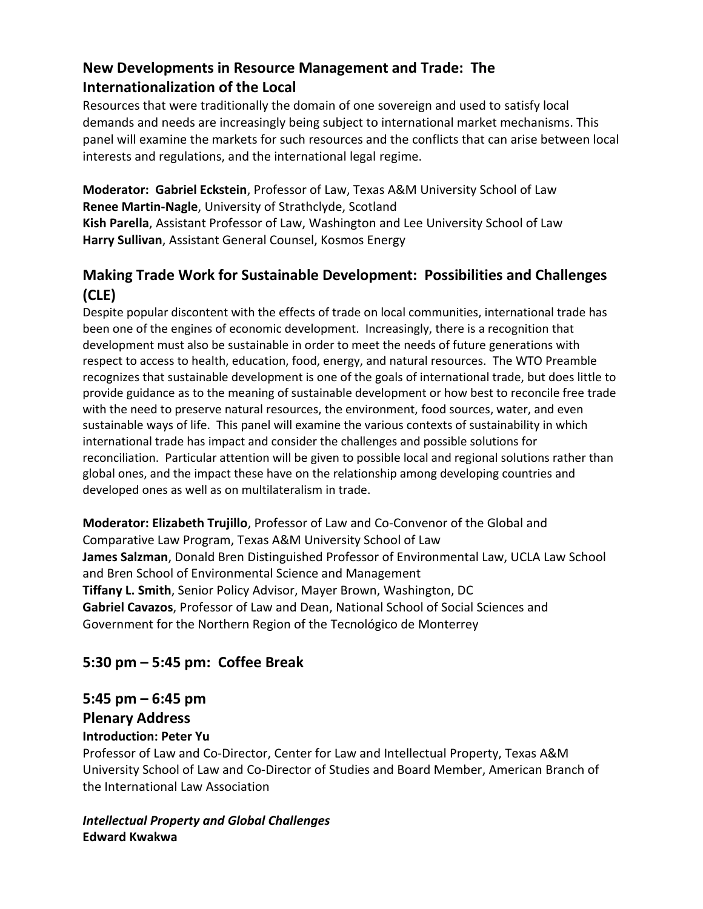## **New Developments in Resource Management and Trade: The Internationalization of the Local**

Resources that were traditionally the domain of one sovereign and used to satisfy local demands and needs are increasingly being subject to international market mechanisms. This panel will examine the markets for such resources and the conflicts that can arise between local interests and regulations, and the international legal regime.

**Moderator: Gabriel Eckstein**, Professor of Law, Texas A&M University School of Law **Renee Martin-Nagle**, University of Strathclyde, Scotland

**Kish Parella**, Assistant Professor of Law, Washington and Lee University School of Law **Harry Sullivan**, Assistant General Counsel, Kosmos Energy

### **Making Trade Work for Sustainable Development: Possibilities and Challenges (CLE)**

Despite popular discontent with the effects of trade on local communities, international trade has been one of the engines of economic development. Increasingly, there is a recognition that development must also be sustainable in order to meet the needs of future generations with respect to access to health, education, food, energy, and natural resources. The WTO Preamble recognizes that sustainable development is one of the goals of international trade, but does little to provide guidance as to the meaning of sustainable development or how best to reconcile free trade with the need to preserve natural resources, the environment, food sources, water, and even sustainable ways of life. This panel will examine the various contexts of sustainability in which international trade has impact and consider the challenges and possible solutions for reconciliation. Particular attention will be given to possible local and regional solutions rather than global ones, and the impact these have on the relationship among developing countries and developed ones as well as on multilateralism in trade.

**Moderator: Elizabeth Trujillo**, Professor of Law and Co-Convenor of the Global and Comparative Law Program, Texas A&M University School of Law **James Salzman**, Donald Bren Distinguished Professor of Environmental Law, UCLA Law School and Bren School of Environmental Science and Management **Tiffany L. Smith**, Senior Policy Advisor, Mayer Brown, Washington, DC **Gabriel Cavazos**, Professor of Law and Dean, National School of Social Sciences and Government for the Northern Region of the Tecnológico de Monterrey

## **5:30 pm – 5:45 pm: Coffee Break**

# **5:45 pm – 6:45 pm**

#### **Plenary Address**

#### **Introduction: Peter Yu**

Professor of Law and Co-Director, Center for Law and Intellectual Property, Texas A&M University School of Law and Co-Director of Studies and Board Member, American Branch of the International Law Association

#### *Intellectual Property and Global Challenges* **Edward Kwakwa**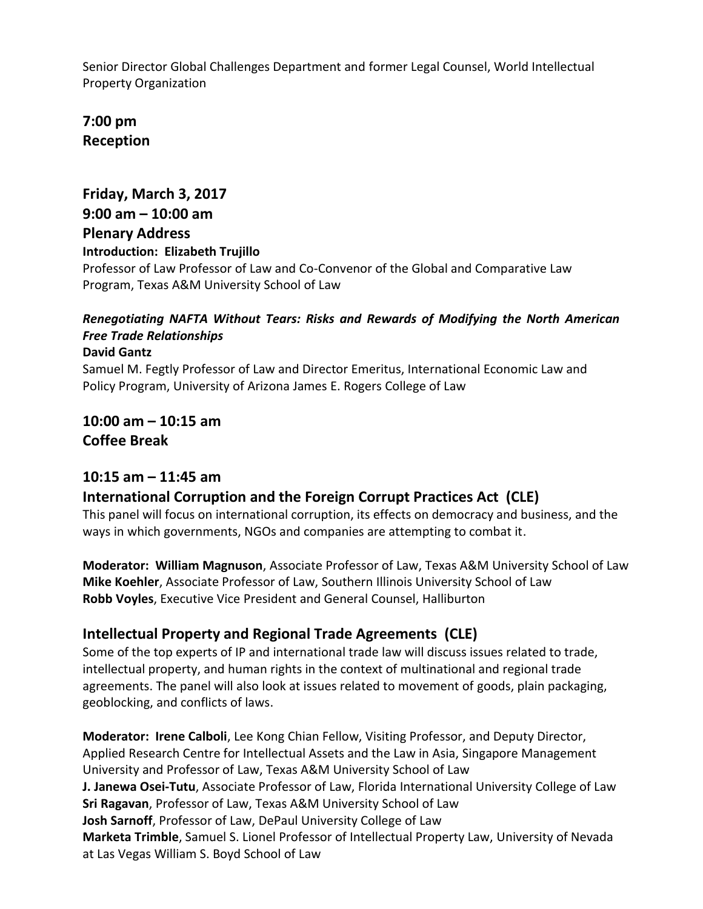Senior Director Global Challenges Department and former Legal Counsel, World Intellectual Property Organization

**7:00 pm Reception**

## **Friday, March 3, 2017 9:00 am – 10:00 am Plenary Address Introduction: Elizabeth Trujillo**

Professor of Law Professor of Law and Co-Convenor of the Global and Comparative Law Program, Texas A&M University School of Law

## *Renegotiating NAFTA Without Tears: Risks and Rewards of Modifying the North American Free Trade Relationships*

#### **David Gantz**

Samuel M. Fegtly Professor of Law and Director Emeritus, International Economic Law and Policy Program, University of Arizona James E. Rogers College of Law

**10:00 am – 10:15 am Coffee Break**

#### **10:15 am – 11:45 am**

## **International Corruption and the Foreign Corrupt Practices Act (CLE)**

This panel will focus on international corruption, its effects on democracy and business, and the ways in which governments, NGOs and companies are attempting to combat it.

**Moderator: William Magnuson**, Associate Professor of Law, Texas A&M University School of Law **Mike Koehler**, Associate Professor of Law, Southern Illinois University School of Law **Robb Voyles**, Executive Vice President and General Counsel, Halliburton

#### **Intellectual Property and Regional Trade Agreements (CLE)**

Some of the top experts of IP and international trade law will discuss issues related to trade, intellectual property, and human rights in the context of multinational and regional trade agreements. The panel will also look at issues related to movement of goods, plain packaging, geoblocking, and conflicts of laws.

**Moderator: Irene Calboli**, Lee Kong Chian Fellow, Visiting Professor, and Deputy Director, Applied Research Centre for Intellectual Assets and the Law in Asia, Singapore Management University and Professor of Law, Texas A&M University School of Law **J. Janewa Osei-Tutu**, Associate Professor of Law, Florida International University College of Law **Sri Ragavan**, Professor of Law, Texas A&M University School of Law **Josh Sarnoff**, Professor of Law, DePaul University College of Law **Marketa Trimble**, Samuel S. Lionel Professor of Intellectual Property Law, University of Nevada at Las Vegas William S. Boyd School of Law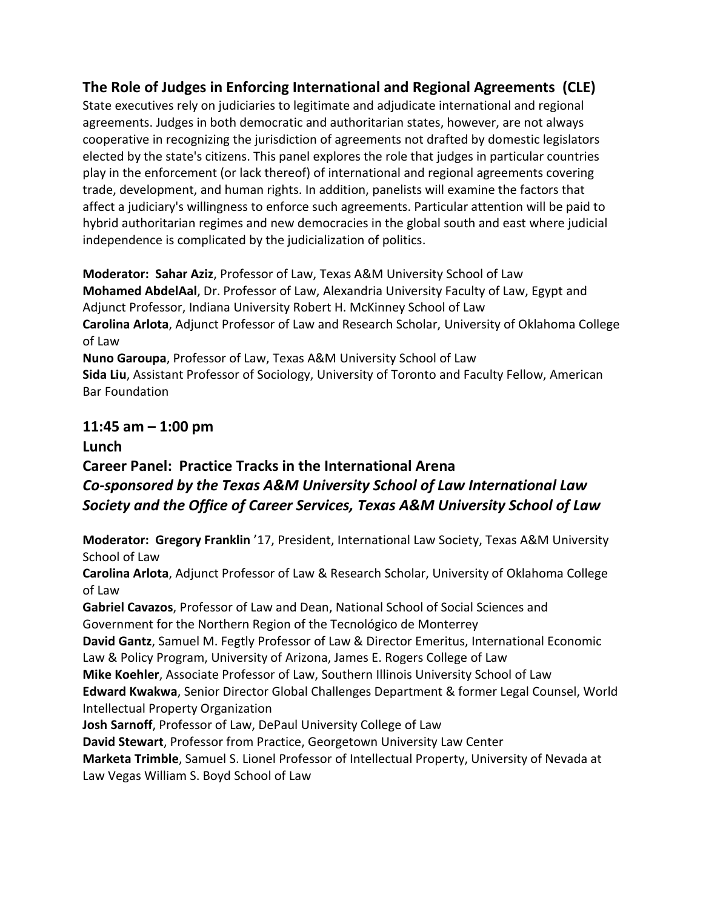### **The Role of Judges in Enforcing International and Regional Agreements (CLE)**

State executives rely on judiciaries to legitimate and adjudicate international and regional agreements. Judges in both democratic and authoritarian states, however, are not always cooperative in recognizing the jurisdiction of agreements not drafted by domestic legislators elected by the state's citizens. This panel explores the role that judges in particular countries play in the enforcement (or lack thereof) of international and regional agreements covering trade, development, and human rights. In addition, panelists will examine the factors that affect a judiciary's willingness to enforce such agreements. Particular attention will be paid to hybrid authoritarian regimes and new democracies in the global south and east where judicial independence is complicated by the judicialization of politics.

**Moderator: Sahar Aziz**, Professor of Law, Texas A&M University School of Law **Mohamed AbdelAal**, Dr. Professor of Law, Alexandria University Faculty of Law, Egypt and Adjunct Professor, Indiana University Robert H. McKinney School of Law **Carolina Arlota**, Adjunct Professor of Law and Research Scholar, University of Oklahoma College of Law **Nuno Garoupa**, Professor of Law, Texas A&M University School of Law

**Sida Liu**, Assistant Professor of Sociology, University of Toronto and Faculty Fellow, American Bar Foundation

# **11:45 am – 1:00 pm**

## **Lunch Career Panel: Practice Tracks in the International Arena** *Co-sponsored by the Texas A&M University School of Law International Law Society and the Office of Career Services, Texas A&M University School of Law*

**Moderator: Gregory Franklin** '17, President, International Law Society, Texas A&M University School of Law

**Carolina Arlota**, Adjunct Professor of Law & Research Scholar, University of Oklahoma College of Law

**Gabriel Cavazos**, Professor of Law and Dean, National School of Social Sciences and Government for the Northern Region of the Tecnológico de Monterrey

**David Gantz**, Samuel M. Fegtly Professor of Law & Director Emeritus, International Economic Law & Policy Program, University of Arizona, James E. Rogers College of Law

**Mike Koehler**, Associate Professor of Law, Southern Illinois University School of Law

**Edward Kwakwa**, Senior Director Global Challenges Department & former Legal Counsel, World Intellectual Property Organization

**Josh Sarnoff**, Professor of Law, DePaul University College of Law

**David Stewart**, Professor from Practice, Georgetown University Law Center

**Marketa Trimble**, Samuel S. Lionel Professor of Intellectual Property, University of Nevada at Law Vegas William S. Boyd School of Law